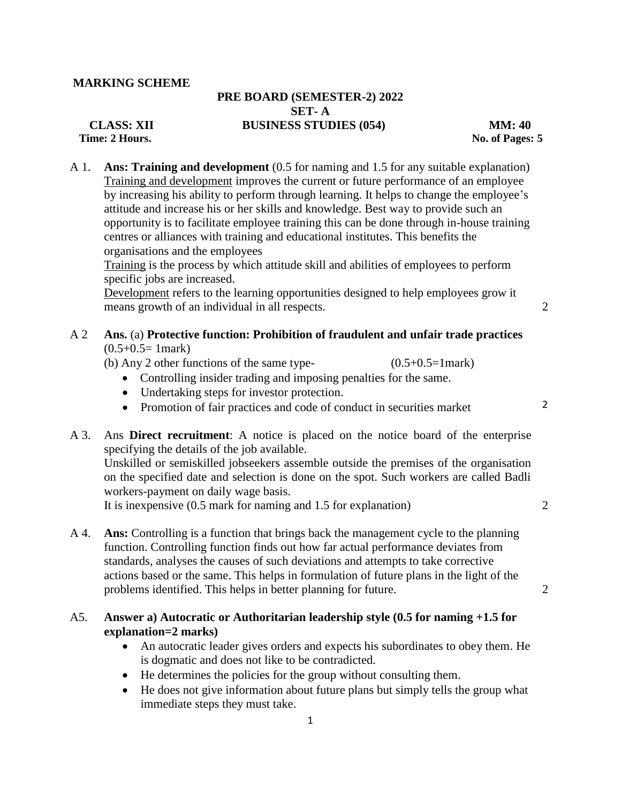#### **MARKING SCHEME**

# **PRE BOARD (SEMESTER-2) 2022 SET- A CLASS: XII BUSINESS STUDIES (054) MM: 40**

*Prime: 2* **Hours. No. of Pages: 5** 

A 1. **Ans: Training and development** (0.5 for naming and 1.5 for any suitable explanation) Training and development improves the current or future performance of an employee by increasing his ability to perform through learning. It helps to change the employee's attitude and increase his or her skills and knowledge. Best way to provide such an opportunity is to facilitate employee training this can be done through in-house training centres or alliances with training and educational institutes. This benefits the organisations and the employees

Training is the process by which attitude skill and abilities of employees to perform specific jobs are increased.

Development refers to the learning opportunities designed to help employees grow it means growth of an individual in all respects. 2

2

## A 2 **Ans.** (a) **Protective function: Prohibition of fraudulent and unfair trade practices**   $(0.5+0.5=1$  mark)

- (b) Any 2 other functions of the same type-  $(0.5+0.5=1$ mark)
	- Controlling insider trading and imposing penalties for the same.
	- Undertaking steps for investor protection.
	- Promotion of fair practices and code of conduct in securities market
- A 3. Ans **Direct recruitment**: A notice is placed on the notice board of the enterprise specifying the details of the job available.

Unskilled or semiskilled jobseekers assemble outside the premises of the organisation on the specified date and selection is done on the spot. Such workers are called Badli workers-payment on daily wage basis.

It is inexpensive (0.5 mark for naming and 1.5 for explanation) 2

A 4. **Ans:** Controlling is a function that brings back the management cycle to the planning function. Controlling function finds out how far actual performance deviates from standards, analyses the causes of such deviations and attempts to take corrective actions based or the same. This helps in formulation of future plans in the light of the problems identified. This helps in better planning for future. 2

## A5. **Answer a) Autocratic or Authoritarian leadership style (0.5 for naming +1.5 for explanation=2 marks)**

- An autocratic leader gives orders and expects his subordinates to obey them. He is dogmatic and does not like to be contradicted.
- He determines the policies for the group without consulting them.
- He does not give information about future plans but simply tells the group what immediate steps they must take.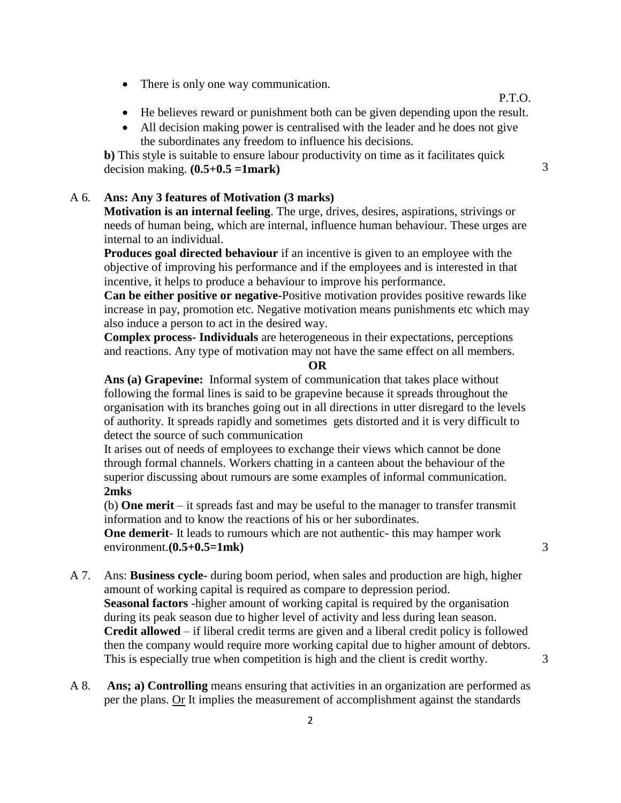• There is only one way communication.

P.T.O.

- He believes reward or punishment both can be given depending upon the result.
- All decision making power is centralised with the leader and he does not give the subordinates any freedom to influence his decisions.

**b)** This style is suitable to ensure labour productivity on time as it facilitates quick decision making.  $(0.5+0.5 = 1$ mark) 3

## A 6. **Ans: Any 3 features of Motivation (3 marks)**

**Motivation is an internal feeling**. The urge, drives, desires, aspirations, strivings or needs of human being, which are internal, influence human behaviour. These urges are internal to an individual.

**Produces goal directed behaviour** if an incentive is given to an employee with the objective of improving his performance and if the employees and is interested in that incentive, it helps to produce a behaviour to improve his performance.

**Can be either positive or negative-**Positive motivation provides positive rewards like increase in pay, promotion etc. Negative motivation means punishments etc which may also induce a person to act in the desired way.

**Complex process- Individuals** are heterogeneous in their expectations, perceptions and reactions. Any type of motivation may not have the same effect on all members.

**OR**

**Ans (a) Grapevine:** Informal system of communication that takes place without following the formal lines is said to be grapevine because it spreads throughout the organisation with its branches going out in all directions in utter disregard to the levels of authority. It spreads rapidly and sometimes gets distorted and it is very difficult to detect the source of such communication

It arises out of needs of employees to exchange their views which cannot be done through formal channels. Workers chatting in a canteen about the behaviour of the superior discussing about rumours are some examples of informal communication. **2mks**

(b) **One merit** – it spreads fast and may be useful to the manager to transfer transmit information and to know the reactions of his or her subordinates.

**One demerit**- It leads to rumours which are not authentic- this may hamper work environment.**(0.5+0.5=1mk)** 3

- 
- A 7. Ans: **Business cycle-** during boom period, when sales and production are high, higher amount of working capital is required as compare to depression period. **Seasonal factors** -higher amount of working capital is required by the organisation during its peak season due to higher level of activity and less during lean season. **Credit allowed** – if liberal credit terms are given and a liberal credit policy is followed then the company would require more working capital due to higher amount of debtors. This is especially true when competition is high and the client is credit worthy.  $\frac{3}{2}$
- A 8. **Ans; a) Controlling** means ensuring that activities in an organization are performed as per the plans. Or It implies the measurement of accomplishment against the standards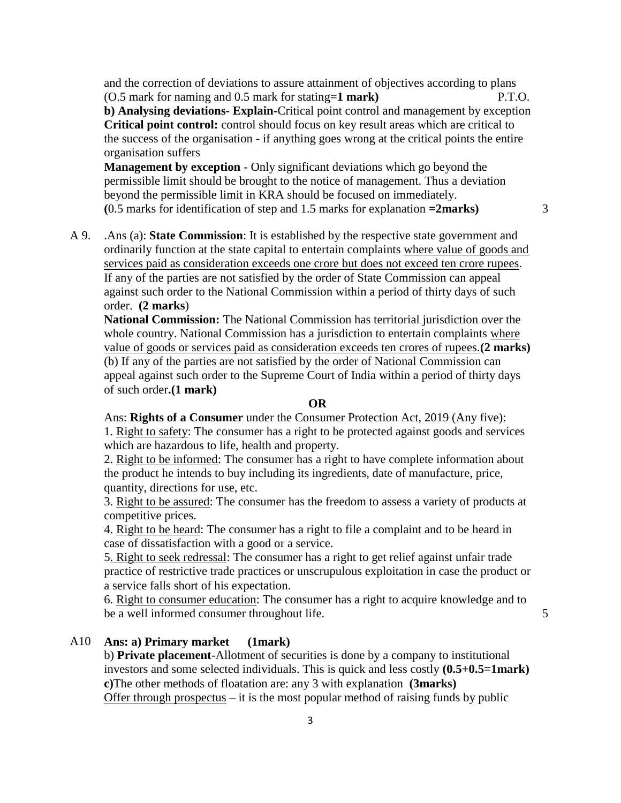and the correction of deviations to assure attainment of objectives according to plans (O.5 mark for naming and 0.5 mark for stating=**1 mark)** P.T.O. **b) Analysing deviations- Explain-**Critical point control and management by exception **Critical point control:** control should focus on key result areas which are critical to the success of the organisation - if anything goes wrong at the critical points the entire organisation suffers

**Management by exception** - Only significant deviations which go beyond the permissible limit should be brought to the notice of management. Thus a deviation beyond the permissible limit in KRA should be focused on immediately. **(**0.5 marks for identification of step and 1.5 marks for explanation **=2marks)** 3

A 9. .Ans (a): **State Commission**: It is established by the respective state government and ordinarily function at the state capital to entertain complaints where value of goods and services paid as consideration exceeds one crore but does not exceed ten crore rupees. If any of the parties are not satisfied by the order of State Commission can appeal against such order to the National Commission within a period of thirty days of such order. **(2 marks**)

**National Commission:** The National Commission has territorial jurisdiction over the whole country. National Commission has a jurisdiction to entertain complaints where value of goods or services paid as consideration exceeds ten crores of rupees.**(2 marks)** (b) If any of the parties are not satisfied by the order of National Commission can appeal against such order to the Supreme Court of India within a period of thirty days of such order**.(1 mark)**

#### **OR**

Ans: **Rights of a Consumer** under the Consumer Protection Act, 2019 (Any five): 1. Right to safety: The consumer has a right to be protected against goods and services which are hazardous to life, health and property.

2. Right to be informed: The consumer has a right to have complete information about the product he intends to buy including its ingredients, date of manufacture, price, quantity, directions for use, etc.

3. Right to be assured: The consumer has the freedom to assess a variety of products at competitive prices.

4. Right to be heard: The consumer has a right to file a complaint and to be heard in case of dissatisfaction with a good or a service.

5. Right to seek redressal: The consumer has a right to get relief against unfair trade practice of restrictive trade practices or unscrupulous exploitation in case the product or a service falls short of his expectation.

6. Right to consumer education: The consumer has a right to acquire knowledge and to be a well informed consumer throughout life. 5

## A10 **Ans: a) Primary market (1mark)**

b) **Private placement**-Allotment of securities is done by a company to institutional investors and some selected individuals. This is quick and less costly **(0.5+0.5=1mark) c)**The other methods of floatation are: any 3 with explanation **(3marks)** Offer through prospectus  $-$  it is the most popular method of raising funds by public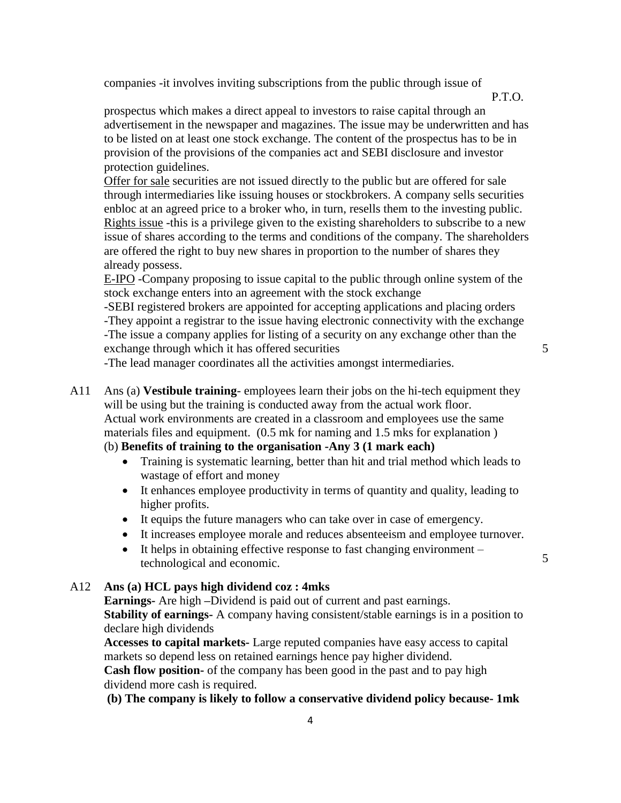companies -it involves inviting subscriptions from the public through issue of

P.T.O.

prospectus which makes a direct appeal to investors to raise capital through an advertisement in the newspaper and magazines. The issue may be underwritten and has to be listed on at least one stock exchange. The content of the prospectus has to be in provision of the provisions of the companies act and SEBI disclosure and investor protection guidelines.

Offer for sale securities are not issued directly to the public but are offered for sale through intermediaries like issuing houses or stockbrokers. A company sells securities enbloc at an agreed price to a broker who, in turn, resells them to the investing public. Rights issue -this is a privilege given to the existing shareholders to subscribe to a new issue of shares according to the terms and conditions of the company. The shareholders are offered the right to buy new shares in proportion to the number of shares they already possess.

E-IPO -Company proposing to issue capital to the public through online system of the stock exchange enters into an agreement with the stock exchange

-SEBI registered brokers are appointed for accepting applications and placing orders -They appoint a registrar to the issue having electronic connectivity with the exchange -The issue a company applies for listing of a security on any exchange other than the exchange through which it has offered securities

-The lead manager coordinates all the activities amongst intermediaries.

5

A11 Ans (a) **Vestibule training**- employees learn their jobs on the hi-tech equipment they will be using but the training is conducted away from the actual work floor. Actual work environments are created in a classroom and employees use the same materials files and equipment. (0.5 mk for naming and 1.5 mks for explanation )

### (b) **Benefits of training to the organisation -Any 3 (1 mark each)**

- Training is systematic learning, better than hit and trial method which leads to wastage of effort and money
- It enhances employee productivity in terms of quantity and quality, leading to higher profits.
- It equips the future managers who can take over in case of emergency.
- It increases employee morale and reduces absenteeism and employee turnover.
- It helps in obtaining effective response to fast changing environment technological and economic.

A12 **Ans (a) HCL pays high dividend coz : 4mks**

**Earnings-** Are high **–**Dividend is paid out of current and past earnings.

**Stability of earnings-** A company having consistent/stable earnings is in a position to declare high dividends

**Accesses to capital markets-** Large reputed companies have easy access to capital markets so depend less on retained earnings hence pay higher dividend.

**Cash flow position-** of the company has been good in the past and to pay high dividend more cash is required.

**(b) The company is likely to follow a conservative dividend policy because- 1mk**